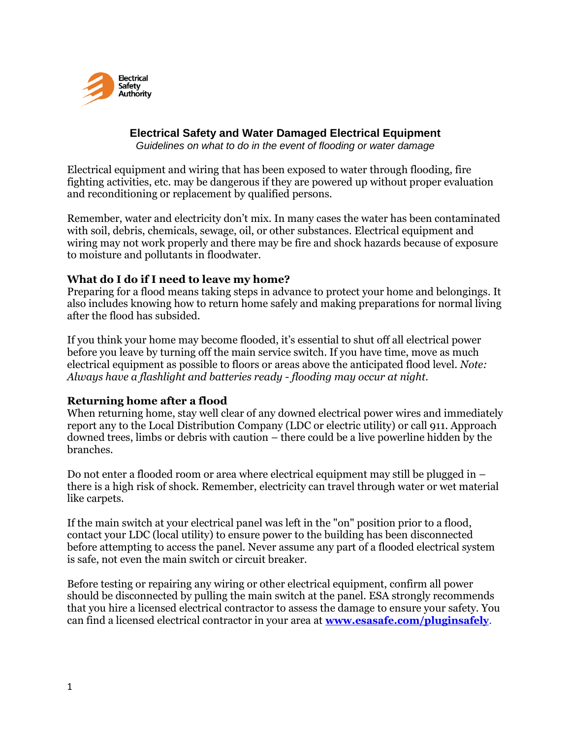

#### **Electrical Safety and Water Damaged Electrical Equipment** *Guidelines on what to do in the event of flooding or water damage*

Electrical equipment and wiring that has been exposed to water through flooding, fire fighting activities, etc. may be dangerous if they are powered up without proper evaluation and reconditioning or replacement by qualified persons.

Remember, water and electricity don't mix. In many cases the water has been contaminated with soil, debris, chemicals, sewage, oil, or other substances. Electrical equipment and wiring may not work properly and there may be fire and shock hazards because of exposure to moisture and pollutants in floodwater.

### **What do I do if I need to leave my home?**

Preparing for a flood means taking steps in advance to protect your home and belongings. It also includes knowing how to return home safely and making preparations for normal living after the flood has subsided.

If you think your home may become flooded, it's essential to shut off all electrical power before you leave by turning off the main service switch. If you have time, move as much electrical equipment as possible to floors or areas above the anticipated flood level. *Note: Always have a flashlight and batteries ready - flooding may occur at night.* 

# **Returning home after a flood**

When returning home, stay well clear of any downed electrical power wires and immediately report any to the Local Distribution Company (LDC or electric utility) or call 911. Approach downed trees, limbs or debris with caution – there could be a live powerline hidden by the branches.

Do not enter a flooded room or area where electrical equipment may still be plugged in – there is a high risk of shock. Remember, electricity can travel through water or wet material like carpets.

If the main switch at your electrical panel was left in the "on" position prior to a flood, contact your LDC (local utility) to ensure power to the building has been disconnected before attempting to access the panel. Never assume any part of a flooded electrical system is safe, not even the main switch or circuit breaker.

Before testing or repairing any wiring or other electrical equipment, confirm all power should be disconnected by pulling the main switch at the panel. ESA strongly recommends that you hire a licensed electrical contractor to assess the damage to ensure your safety. You can find a licensed electrical contractor in your area at **[www.esasafe.com/pluginsafely](http://www.esasafe.com/pluginsafely)**.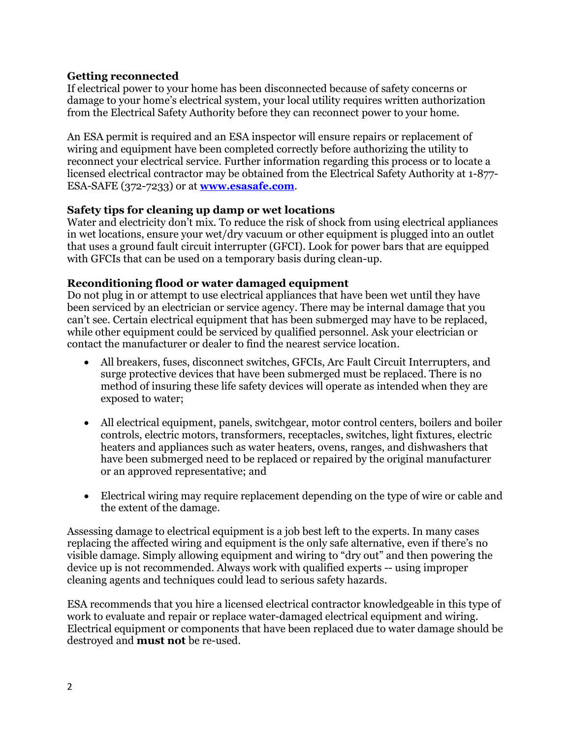# **Getting reconnected**

If electrical power to your home has been disconnected because of safety concerns or damage to your home's electrical system, your local utility requires written authorization from the Electrical Safety Authority before they can reconnect power to your home.

An ESA permit is required and an ESA inspector will ensure repairs or replacement of wiring and equipment have been completed correctly before authorizing the utility to reconnect your electrical service. Further information regarding this process or to locate a licensed electrical contractor may be obtained from the Electrical Safety Authority at 1-877- ESA-SAFE (372-7233) or at **www.esasafe.com**.

### **Safety tips for cleaning up damp or wet locations**

Water and electricity don't mix. To reduce the risk of shock from using electrical appliances in wet locations, ensure your wet/dry vacuum or other equipment is plugged into an outlet that uses a ground fault circuit interrupter (GFCI). Look for power bars that are equipped with GFCIs that can be used on a temporary basis during clean-up.

### **Reconditioning flood or water damaged equipment**

Do not plug in or attempt to use electrical appliances that have been wet until they have been serviced by an electrician or service agency. There may be internal damage that you can't see. Certain electrical equipment that has been submerged may have to be replaced, while other equipment could be serviced by qualified personnel. Ask your electrician or contact the manufacturer or dealer to find the nearest service location.

- All breakers, fuses, disconnect switches, GFCIs, Arc Fault Circuit Interrupters, and surge protective devices that have been submerged must be replaced. There is no method of insuring these life safety devices will operate as intended when they are exposed to water;
- All electrical equipment, panels, switchgear, motor control centers, boilers and boiler controls, electric motors, transformers, receptacles, switches, light fixtures, electric heaters and appliances such as water heaters, ovens, ranges, and dishwashers that have been submerged need to be replaced or repaired by the original manufacturer or an approved representative; and
- Electrical wiring may require replacement depending on the type of wire or cable and the extent of the damage.

Assessing damage to electrical equipment is a job best left to the experts. In many cases replacing the affected wiring and equipment is the only safe alternative, even if there's no visible damage. Simply allowing equipment and wiring to "dry out" and then powering the device up is not recommended. Always work with qualified experts -- using improper cleaning agents and techniques could lead to serious safety hazards.

ESA recommends that you hire a licensed electrical contractor knowledgeable in this type of work to evaluate and repair or replace water-damaged electrical equipment and wiring. Electrical equipment or components that have been replaced due to water damage should be destroyed and **must not** be re-used.